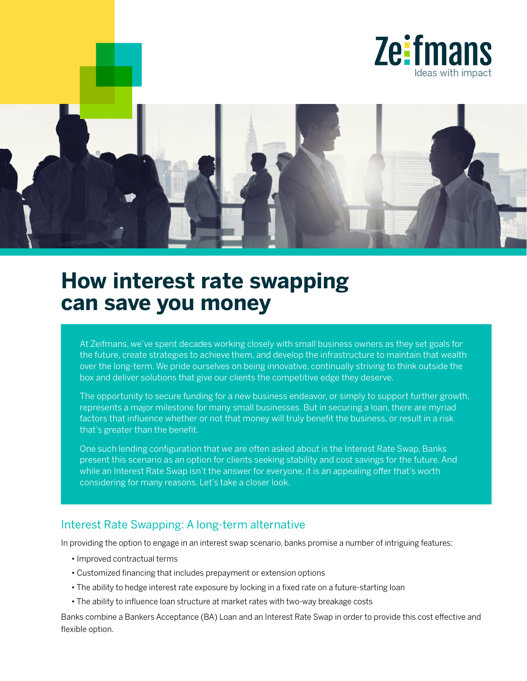



# **How interest rate swapping can save you money**

At Zeifmans, we've spent decades working closely with small business owners as they set goals for the future, create strategies to achieve them, and develop the infrastructure to maintain that wealth over the long-term. We pride ourselves on being innovative, continually striving to think outside the box and deliver solutions that give our clients the competitive edge they deserve.

The opportunity to secure funding for a new business endeavor, or simply to support further growth, represents a major milestone for many small businesses. But in securing a loan, there are myriad factors that influence whether or not that money will truly benefit the business, or result in a risk that's greater than the benefit.

One such lending configuration that we are often asked about is the Interest Rate Swap. Banks present this scenario as an option for clients seeking stability and cost savings for the future. And while an Interest Rate Swap isn't the answer for everyone, it is an appealing offer that's worth considering for many reasons. Let's take a closer look.

#### Interest Rate Swapping: A long-term alternative

In providing the option to engage in an interest swap scenario, banks promise a number of intriguing features:

- Improved contractual terms
- Customized financing that includes prepayment or extension options
- The ability to hedge interest rate exposure by locking in a fixed rate on a future-starting loan
- The ability to influence loan structure at market rates with two-way breakage costs

Banks combine a Bankers Acceptance (BA) Loan and an Interest Rate Swap in order to provide this cost effective and flexible option.